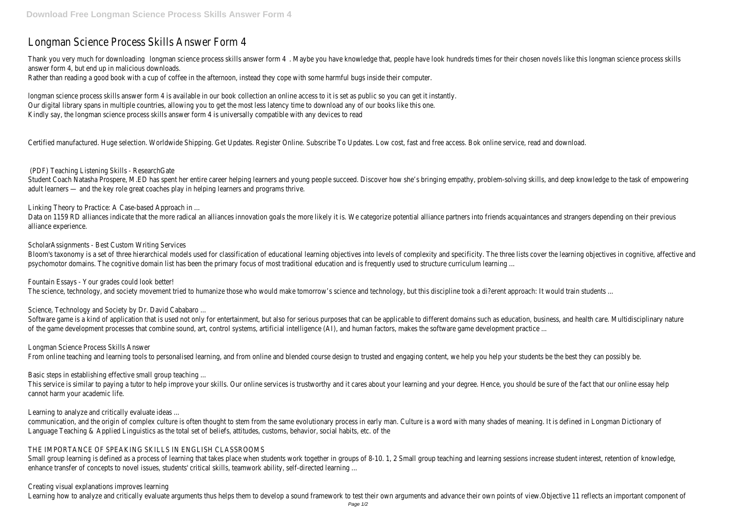# Longman Science Process Skills Answer Form 4

Thank you very much for downloading science process skills answer form 4 . Have knowledge that, people have look hundreds times for their chosen novels like this longman science process skills answer for the process skills answer form 4, but end up in malicious downloads. Rather than reading a good book with a cup of coffee in the afternoon, instead they cope with some harmful bugs inside their computer.

longman science process skills answer form 4 is available in our book collection an online access to it is set as public so you can get it instantly. Our digital library spans in multiple countries, allowing you to get the most less latency time to download any of our books like this one. Kindly say, the longman science process skills answer form 4 is universally compatible with any devices to read

Certified manufactured. Huge selection. Worldwide Shipping. Get Updates. Register Online. Subscribe To Updates. Low cost, fast and free access. Bok online service, read and dow

Student Coach Natasha Prospere, M.ED has spent her entire career helping learners and young people succeed. Discover how she's bringing empathy, problem-solving skills, and d adult learners — and the key role great coaches play in helping learners and programs thrive.

Data on 1159 RD alliances indicate that the more radical an alliances innovation goals the more likely it is. We categorize potential alliance partners into friends acquaintances an alliance experience.

Fountain Essays - Your grades could look better! The science, technology, and society movement tried to humanize those who would make tomorrow's science and technology, but this discipline took a di?erent approach: It wou

## (PDF) Teaching Listening Skills - ResearchGate

Software game is a kind of application that is used not only for entertainment, but also for serious purposes that can be applicable to different domains such as education, busines, busing to the standary nature of the two of the game development processes that combine sound, art, control systems, artificial intelligence (AI), and human factors, makes the software game development practice ...

Linking Theory to Practice: A Case-based Approach in ...

This service is similar to paying a tutor to help improve your skills. Our online services is trustworthy and it cares about your learning and your degree. Hence, you should be sure cannot harm your academic life.

ScholarAssignments - Best Custom Writing Services

Bloom's taxonomy is a set of three hierarchical models used for classification of educational learning objectives into levels of complexity and specificity. The three lists cover the psychomotor domains. The cognitive domain list has been the primary focus of most traditional education and is frequently used to structure curriculum learning ...

communication, and the origin of complex culture is often thought to stem from the same evolutionary process in early man. Culture is a word with many shades of meaning. It Language Teaching & Applied Linguistics as the total set of beliefs, attitudes, customs, behavior, social habits, etc. of the

Small group learning is defined as a process of learning that takes place when students work together in groups of 8-10. 1, 2 Small group teaching and learning sessions increas enhance transfer of concepts to novel issues, students' critical skills, teamwork ability, self-directed learning ...

Science, Technology and Society by Dr. David Cababaro ...

Longman Science Process Skills Answer

From online teaching and learning tools to personalised learning, and from online and blended course design to trusted and engaging content, we help you help your students be

Basic steps in establishing effective small group teaching ...

Learning to analyze and critically evaluate ideas ...

## THE IMPORTANCE OF SPEAKING SKILLS IN ENGLISH CLASSROOMS

## Creating visual explanations improves learning

Learning how to analyze and critically evaluate arguments thus helps them to develop a sound framework to test their own arguments and advance their own points of view.Obj